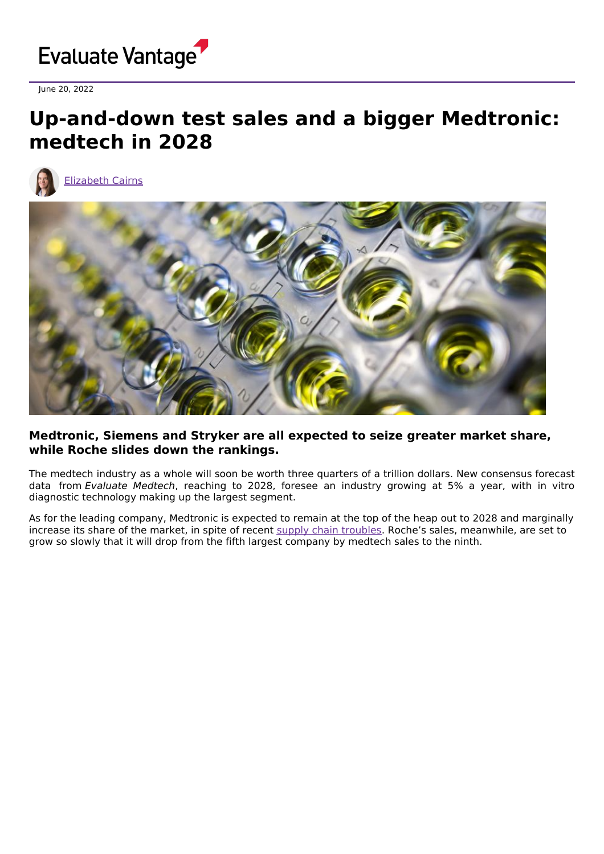

June 20, 2022

# **Up-and-down test sales and a bigger Medtronic: medtech in 2028**



[Elizabeth](https://www.evaluate.com/vantage/editorial-team/elizabeth-cairns) Cairns



### **Medtronic, Siemens and Stryker are all expected to seize greater market share, while Roche slides down the rankings.**

The medtech industry as a whole will soon be worth three quarters of a trillion dollars. New consensus forecast data from Evaluate Medtech, reaching to 2028, foresee an industry growing at 5% a year, with in vitro diagnostic technology making up the largest segment.

As for the leading company, Medtronic is expected to remain at the top of the heap out to 2028 and marginally increase its share of the market, in spite of recent supply chain [troubles](https://www.evaluate.com/vantage/articles/news/corporate-strategy-snippets/medtronic-downsizes-not-sizeably). Roche's sales, meanwhile, are set to grow so slowly that it will drop from the fifth largest company by medtech sales to the ninth.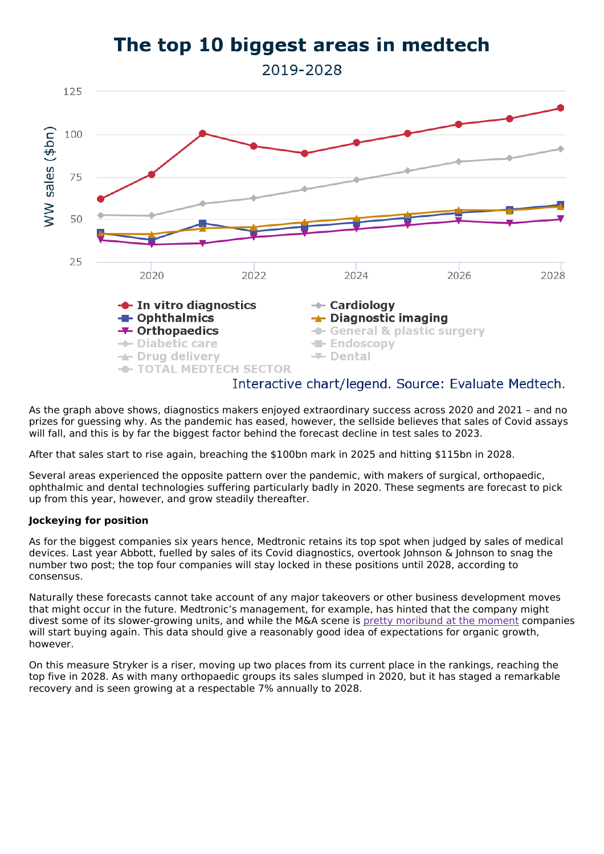## The top 10 biggest areas in medtech

2019-2028



As the graph above shows, diagnostics makers enjoyed extraordinary success across 2020 and 2021 – and no prizes for guessing why. As the pandemic has eased, however, the sellside believes that sales of Covid assays will fall, and this is by far the biggest factor behind the forecast decline in test sales to 2023.

After that sales start to rise again, breaching the \$100bn mark in 2025 and hitting \$115bn in 2028.

Several areas experienced the opposite pattern over the pandemic, with makers of surgical, orthopaedic, ophthalmic and dental technologies suffering particularly badly in 2020. These segments are forecast to pick up from this year, however, and grow steadily thereafter.

### **Jockeying for position**

As for the biggest companies six years hence, Medtronic retains its top spot when judged by sales of medical devices. Last year Abbott, fuelled by sales of its Covid diagnostics, overtook Johnson & Johnson to snag the number two post; the top four companies will stay locked in these positions until 2028, according to consensus.

Naturally these forecasts cannot take account of any major takeovers or other business development moves that might occur in the future. Medtronic's management, for example, has hinted that the company might divest some of its slower-growing units, and while the M&A scene is pretty [moribund](https://www.evaluate.com/vantage/articles/news/deals-snippets/boston-makes-korea-change) at the moment companies will start buying again. This data should give a reasonably good idea of expectations for organic growth, however.

On this measure Stryker is a riser, moving up two places from its current place in the rankings, reaching the top five in 2028. As with many orthopaedic groups its sales slumped in 2020, but it has staged a remarkable recovery and is seen growing at a respectable 7% annually to 2028.